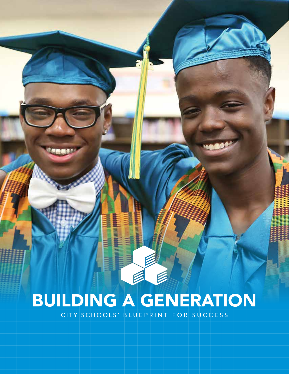# BUILDING A GENERATION

CITY SCHOOLS' BLUEPRINT FOR SUCCESS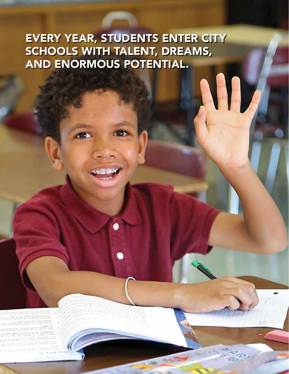## EVERY YEAR, STUDENTS ENTER CITY SCHOOLS WITH TALENT, DREAMS, AND ENORMOUS POTENTIAL.

M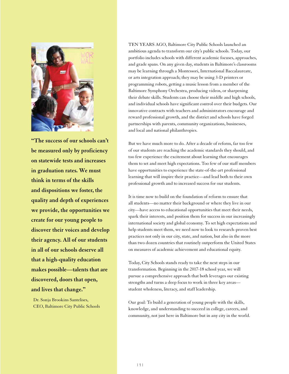

**"The success of our schools can't be measured only by proficiency on statewide tests and increases in graduation rates. We must think in terms of the skills and dispositions we foster, the quality and depth of experiences we provide, the opportunities we create for our young people to discover their voices and develop their agency. All of our students in all of our schools deserve all that a high-quality education makes possible—talents that are discovered, doors that open, and lives that change."**

Dr. Sonja Brookins Santelises, CEO, Baltimore City Public Schools TEN YEARS AGO, Baltimore City Public Schools launched an ambitious agenda to transform our city's public schools. Today, our portfolio includes schools with different academic focuses, approaches, and grade spans. On any given day, students in Baltimore's classrooms may be learning through a Montessori, International Baccalaureate, or arts integration approach; they may be using 3-D printers or programming robots, getting a music lesson from a member of the Baltimore Symphony Orchestra, producing videos, or sharpening their debate skills. Students can choose their middle and high schools, and individual schools have significant control over their budgets. Our innovative contracts with teachers and administrators encourage and reward professional growth, and the district and schools have forged partnerships with parents, community organizations, businesses, and local and national philanthropies.

But we have much more to do. After a decade of reform, far too few of our students are reaching the academic standards they should, and too few experience the excitement about learning that encourages them to set and meet high expectations. Too few of our staff members have opportunities to experience the state-of-the-art professional learning that will inspire their practice—and lead both to their own professional growth and to increased success for our students.

It is time now to build on the foundation of reform to ensure that all students—no matter their background or where they live in our city—have access to educational opportunities that meet their needs, spark their interests, and position them for success in our increasingly international society and global economy. To set high expectations and help students meet them, we need now to look to research-proven best practices not only in our city, state, and nation, but also in the more than two dozen countries that routinely outperform the United States on measures of academic achievement and educational equity.

Today, City Schools stands ready to take the next steps in our transformation. Beginning in the 2017-18 school year, we will pursue a comprehensive approach that both leverages our existing strengths and turns a deep focus to work in three key areas student wholeness, literacy, and staff leadership.

Our goal: To build a generation of young people with the skills, knowledge, and understanding to succeed in college, careers, and community, not just here in Baltimore but in any city in the world.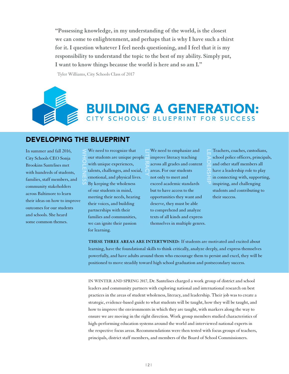**"Possessing knowledge, in my understanding of the world, is the closest we can come to enlightenment, and perhaps that is why I have such a thirst for it. I question whatever I feel needs questioning, and I feel that it is my responsibility to understand the topic to the best of my ability. Simply put, I want to know things because the world is here and so am I."**

LITERACY

Tyler Williams, City Schools Class of 2017

### BUILDING A GENERATION: CITY SCHOOLS' BLUEPRINT FOR SUCCESS

#### DEVELOPING THE BLUEPRINT

WHOLENESS

In summer and fall 2016, City Schools CEO Sonja Brookins Santelises met with hundreds of students, families, staff members, and community stakeholders across Baltimore to learn their ideas on how to improve outcomes for our students and schools. She heard some common themes.

We need to recognize that our students are unique people with unique experiences, talents, challenges, and social, emotional, and physical lives. By keeping the wholeness of our students in mind, meeting their needs, hearing their voices, and building partnerships with their families and communities, we can ignite their passion for learning.

We need to emphasize and improve literacy teaching across all grades and content areas. For our students not only to meet and exceed academic standards but to have access to the opportunities they want and deserve, they must be able to comprehend and analyze texts of all kinds and express themselves in multiple genres.

Teachers, coaches, custodians, school police officers, principals, and other staff members all have a leadership role to play in connecting with, supporting, inspiring, and challenging students and contributing to their success. LEADERSHIP

**THESE THREE AREAS ARE INTERTWINED:** If students are motivated and excited about learning, have the foundational skills to think critically, analyze deeply, and express themselves powerfully, and have adults around them who encourage them to persist and excel, they will be positioned to move steadily toward high school graduation and postsecondary success.

**IN WINTER AND SPRING 2017,** Dr. Santelises charged a work group of district and school leaders and community partners with exploring national and international research on best practices in the areas of student wholeness, literacy, and leadership. Their job was to create a strategic, evidence-based guide to what students will be taught, how they will be taught, and how to improve the environments in which they are taught, with markers along the way to ensure we are moving in the right direction. Work group members studied characteristics of high-performing education systems around the world and interviewed national experts in the respective focus areas. Recommendations were then tested with focus groups of teachers, principals, district staff members, and members of the Board of School Commissioners.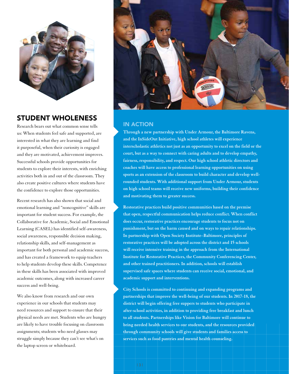

#### STUDENT WHOLENESS

Research bears out what common sense tells us: When students feel safe and supported, are interested in what they are learning and find it purposeful, when their curiosity is engaged and they are motivated, achievement improves. Successful schools provide opportunities for students to explore their interests, with enriching activities both in and out of the classroom. They also create positive cultures where students have the confidence to explore those opportunities.

Recent research has also shown that social and emotional learning and "noncognitive" skills are important for student success. For example, the Collaborative for Academic, Social and Emotional Learning (CASEL) has identified self-awareness, social awareness, responsible decision making, relationship skills, and self-management as important for both personal and academic success, and has created a framework to equip teachers to help students develop these skills. Competence in these skills has been associated with improved academic outcomes, along with increased career success and well-being.

We also know from research and our own experience in our schools that students may need resources and support to ensure that their physical needs are met. Students who are hungry are likely to have trouble focusing on classroom assignments; students who need glasses may struggle simply because they can't see what's on the laptop screen or whiteboard.



#### IN ACTION

**Through a new partnership with Under Armour, the Baltimore Ravens, and the InSideOut Initiative, high school athletes will experience interscholastic athletics not just as an opportunity to excel on the field or the court, but as a way to connect with caring adults and to develop empathy, fairness, responsibility, and respect. Our high school athletic directors and coaches will have access to professional learning opportunities on using sports as an extension of the classroom to build character and develop wellrounded students. With additional support from Under Armour, students on high school teams will receive new uniforms, building their confidence and motivating them to greater success.**

**Restorative practices build positive communities based on the premise that open, respectful communication helps reduce conflict. When conflict does occur, restorative practices encourage students to focus not on punishment, but on the harm caused and on ways to repair relationships. In partnership with Open Society Institute–Baltimore, principles of restorative practices will be adopted across the district and 15 schools will receive intensive training in the approach from the International Institute for Restorative Practices, the Community Conferencing Center, and other trained practitioners. In addition, schools will establish supervised safe spaces where students can receive social, emotional, and academic support and interventions.** 

**City Schools is committed to continuing and expanding programs and partnerships that improve the well-being of our students. In 2017-18, the district will begin offering free suppers to students who participate in after-school activities, in addition to providing free breakfast and lunch to all students. Partnerships like Vision for Baltimore will continue to bring needed health services to our students, and the resources provided through community schools will give students and families access to services such as food pantries and mental health counseling.**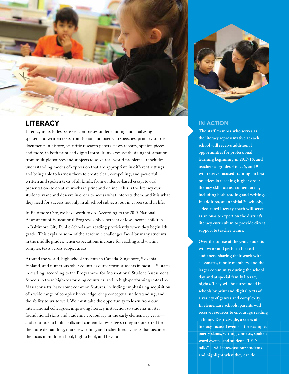

#### LITERACY

Literacy in its fullest sense encompasses understanding and analyzing spoken and written texts from fiction and poetry to speeches, primary source documents in history, scientific research papers, news reports, opinion pieces, and more, in both print and digital form. It involves synthesizing information from multiple sources and subjects to solve real-world problems. It includes understanding modes of expression that are appropriate in different settings and being able to harness them to create clear, compelling, and powerful written and spoken texts of all kinds, from evidence-based essays to oral presentations to creative works in print and online. This is the literacy our students want and deserve in order to access what interests them, and it is what they need for success not only in all school subjects, but in careers and in life.

In Baltimore City, we have work to do. According to the 2015 National Assessment of Educational Progress, only 9 percent of low-income children in Baltimore City Public Schools are reading proficiently when they begin 4th grade. This explains some of the academic challenges faced by many students in the middle grades, when expectations increase for reading and writing complex texts across subject areas.

Around the world, high school students in Canada, Singapore, Slovenia, Finland, and numerous other countries outperform students in most U.S. states in reading, according to the Programme for International Student Assessment. Schools in these high-performing countries, and in high-performing states like Massachusetts, have some common features, including emphasizing acquisition of a wide range of complex knowledge, deep conceptual understanding, and the ability to write well. We must take the opportunity to learn from our international colleagues, improving literacy instruction so students master foundational skills and academic vocabulary in the early elementary years and continue to build skills and content knowledge so they are prepared for the more demanding, more rewarding, and richer literacy tasks that become the focus in middle school, high school, and beyond.



#### IN ACTION

**The staff member who serves as the literacy representative at each school will receive additional opportunities for professional learning beginning in 2017-18, and teachers at grades 3 to 5, 6, and 9 will receive focused training on best practices in teaching higher order literacy skills across content areas, including both reading and writing. In addition, at an initial 20 schools, a dedicated literacy coach will serve as an on-site expert on the district's literacy curriculum to provide direct support to teacher teams.** 

**Over the course of the year, students will write and perform for real audiences, sharing their work with classmates, family members, and the larger community during the school day and at special family literacy nights. They will be surrounded in schools by print and digital texts of a variety of genres and complexity. In elementary schools, parents will receive resources to encourage reading at home. Districtwide, a series of literacy-focused events—for example, poetry slams, writing contests, spoken word events, and student "TED talks"—will showcase our students and highlight what they can do.**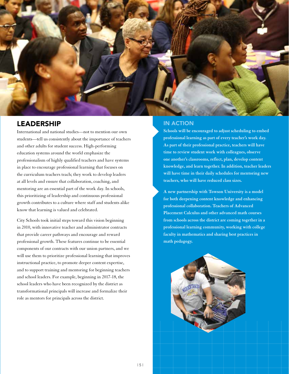

#### LEADERSHIP

International and national studies—not to mention our own students—tell us consistently about the importance of teachers and other adults for student success. High-performing education systems around the world emphasize the professionalism of highly qualified teachers and have systems in place to encourage professional learning that focuses on the curriculum teachers teach; they work to develop leaders at all levels and ensure that collaboration, coaching, and mentoring are an essential part of the work day. In schools, this prioritizing of leadership and continuous professional growth contributes to a culture where staff and students alike know that learning is valued and celebrated.

City Schools took initial steps toward this vision beginning in 2010, with innovative teacher and administrator contracts that provide career pathways and encourage and reward professional growth. These features continue to be essential components of our contracts with our union partners, and we will use them to prioritize professional learning that improves instructional practice, to promote deeper content expertise, and to support training and mentoring for beginning teachers and school leaders. For example, beginning in 2017-18, the school leaders who have been recognized by the district as transformational principals will increase and formalize their role as mentors for principals across the district.

#### IN ACTION

**Schools will be encouraged to adjust scheduling to embed professional learning as part of every teacher's work day. As part of their professional practice, teachers will have time to review student work with colleagues, observe one another's classrooms, reflect, plan, develop content knowledge, and learn together. In addition, teacher leaders will have time in their daily schedules for mentoring new teachers, who will have reduced class sizes.**

**A new partnership with Towson University is a model for both deepening content knowledge and enhancing professional collaboration. Teachers of Advanced Placement Calculus and other advanced math courses from schools across the district are coming together in a professional learning community, working with college faculty in mathematics and sharing best practices in math pedagogy.**

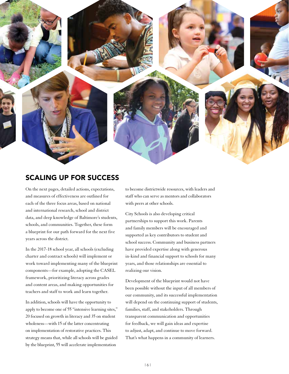

#### SCALING UP FOR SUCCESS

On the next pages, detailed actions, expectations, and measures of effectiveness are outlined for each of the three focus areas, based on national and international research, school and district data, and deep knowledge of Baltimore's students, schools, and communities. Together, these form a blueprint for our path forward for the next five years across the district.

In the 2017-18 school year, all schools (excluding charter and contract schools) will implement or work toward implementing many of the blueprint components—for example, adopting the CASEL framework, prioritizing literacy across grades and content areas, and making opportunities for teachers and staff to work and learn together.

In addition, schools will have the opportunity to apply to become one of 55 "intensive learning sites," 20 focused on growth in literacy and 35 on student wholeness—with 15 of the latter concentrating on implementation of restorative practices. This strategy means that, while all schools will be guided by the blueprint, 55 will accelerate implementation

to become districtwide resources, with leaders and staff who can serve as mentors and collaborators with peers at other schools.

City Schools is also developing critical partnerships to support this work. Parents and family members will be encouraged and supported as key contributors to student and school success. Community and business partners have provided expertise along with generous in-kind and financial support to schools for many years, and those relationships are essential to realizing our vision.

Development of the blueprint would not have been possible without the input of all members of our community, and its successful implementation will depend on the continuing support of students, families, staff, and stakeholders. Through transparent communication and opportunities for feedback, we will gain ideas and expertise to adjust, adapt, and continue to move forward. That's what happens in a community of learners.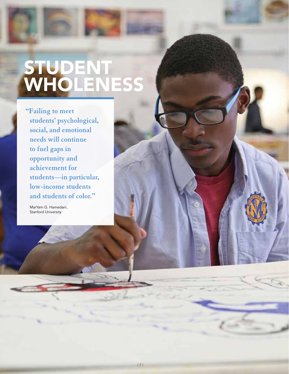## STUDENT WHOLENESS

**"Failing to meet students' psychological, social, and emotional needs will continue to fuel gaps in opportunity and achievement for students—in particular, low-income students and students of color."**

MarYam G. Hamedani, Stanford University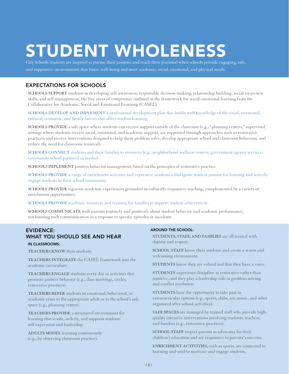## STUDENT WHOLENESS

City Schools students are inspired to pursue their passions and reach their potential when schools provide engaging, safe, and supportive environments that foster well-being and meet academic, social, emotional, and physical needs.

#### EXPECTATIONS FOR SCHOOLS

**SCHOOLS SUPPORT** students in developing self-awareness, responsible decision-making, relationship building, social awareness skills, and self-management, the five areas of competence outlined in the framework for social-emotional learning from the Collaborative for Academic, Social and Emotional Learning (CASEL).

**SCHOOLS DEVELOP AND IMPLEMENT** a professional development plan that builds staff knowledge of the social, emotional, cultural, economic, and family factors that affect student learning.

**SCHOOLS PROVIDE** a safe space where students can receive support outside of the classroom (e.g., "planning centers," supervised settings where students receive social, emotional, and academic support, are supported through approaches such as restorative practices, and receive interventions designed to help them problem solve, develop appropriate school and classroom behaviors, and reduce the need for classroom removal).

**SCHOOLS CONNECT** students and their families to resources (e.g., neighborhood wellness centers, government agency services, community school partners) as needed.

**SCHOOLS IMPLEMENT** positive behavior management, based on the principles of restorative practice.

**SCHOOLS PROVIDE** a range of enrichment activities and expressive academics that ignite student passion for learning and actively engage students in their school community.

**SCHOOLS PROVIDE** rigorous academic experiences grounded in culturally responsive teaching, complemented by a variety of enrichment opportunities.

**SCHOOLS PROVIDE** academic resources and training for families to support student achievement.

**SCHOOLS COMMUNICATE** with parents routinely and positively about student behavior and academic performance, not limiting such communication as a response to specific episodes or incidents.

#### EVIDENCE: WHAT YOU SHOULD SEE AND HEAR

#### IN CLASSROOMS:

**TEACHERS KNOW** their students.

**TEACHERS INTEGRATE** the CASEL framework into the academic curriculum.

**TEACHERS ENGAGE** students every day in activities that promote positive behavior (e.g., class meetings, circles, restorative practices).

**TEACHERS REFER** students in emotional, behavioral, or academic crisis to the appropriate adult or to the school's safe space (e.g., planning center).

**TEACHERS PROVIDE** a structured environment for learning that is safe, orderly, and supports students' self-expression and leadership.

**ADULTS MODEL** learning continuously (e.g., by observing classroom practice)**.**

#### AROUND THE SCHOOL:

**STUDENTS, STAFF, AND FAMILIES** are all treated with dignity and respect.

**SCHOOL STAFF** know their students and create a warm and welcoming environment.

**STUDENTS** know they are valued and that they have a voice.

**STUDENTS** experience discipline as restorative rather than punitive, and they play a leadership role in problem solving and conflict resolution.

**STUDENTS** have the opportunity to take part in extracurricular options (e.g., sports, clubs, art, music, and other organized after-school activities).

**SAFE SPACES** are managed by trained staff who provide highquality intensive interventions involving students, teachers, and families (e.g., restorative practices).

**SCHOOL STAFF** respect parents as advocates for their children's education and are responsive to parents**'** concerns**.**

**ENRICHMENT ACTIVITIES,** such as sports, are connected to learning and used to motivate and engage students.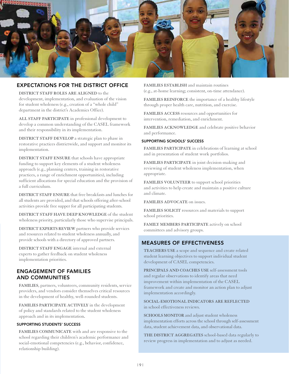

#### EXPECTATIONS FOR THE DISTRICT OFFICE

**DISTRICT STAFF ROLES ARE ALIGNED** to the development, implementation, and evaluation of the vision for student wholeness (e.g., creation of a "whole child" department in the district's Academics Office).

**ALL STAFF PARTICIPATE** in professional development to develop a common understanding of the CASEL framework and their responsibility in its implementation.

**DISTRICT STAFF DEVELOP** a strategic plan to phase in restorative practices districtwide, and support and monitor its implementation.

**DISTRICT STAFF ENSURE** that schools have appropriate funding to support key elements of a student wholeness approach (e.g., planning centers, training in restorative practices, a range of enrichment opportunities), including sufficient allocations for special education and the provision of a full curriculum.

**DISTRICT STAFF ENSURE** that free breakfasts and lunches for all students are provided, and that schools offering after-school activities provide free supper for all participating students.

**DISTRICT STAFF HAVE DEEP KNOWLEDGE** of the student wholeness priority, particularly those who supervise principals.

**DISTRICT EXPERTS REVIEW** partners who provide services and resources related to student wholeness annually, and provide schools with a directory of approved partners.

**DISTRICT STAFF ENGAGE** internal and external experts to gather feedback on student wholeness implementation priorities.

#### ENGAGEMENT OF FAMILIES AND COMMUNITIES

**FAMILIES**, partners, volunteers, community residents, service providers, and vendors consider themselves critical resources in the development of healthy, well-rounded students.

**FAMILIES PARTICIPATE ACTIVELY** in the development of policy and standards related to the student wholeness approach and in its implementation.

#### SUPPORTING STUDENTS' SUCCESS

**FAMILIES COMMUNICATE** with and are responsive to the school regarding their children's academic performance and social-emotional competencies (e.g., behavior, confidence, relationship building).

**FAMILIES ESTABLISH** and maintain routines (e.g., at-home learning; consistent, on-time attendance).

**FAMILIES REINFORCE** the importance of a healthy lifestyle through proper health care, nutrition, and exercise.

**FAMILIES ACCESS** resources and opportunities for intervention, remediation, and enrichment.

**FAMILIES ACKNOWLEDGE** and celebrate positive behavior and performance.

#### SUPPORTING SCHOOLS' SUCCESS

**FAMILIES PARTICIPATE** in celebrations of learning at school and in presentation of student work portfolios.

**FAMILIES PARTICIPATE** in joint decision-making and reviewing of student wholeness implementation, when appropriate.

**FAMILIES VOLUNTEER** to support school priorities and activities to help create and maintain a positive culture and climate.

**FAMILIES ADVOCATE** on issues.

**FAMILIES SOLICIT** resources and materials to support school priorities.

**FAMILY MEMBERS PARTICIPATE** actively on school committees and advisory groups.

#### MEASURES OF EFFECTIVENESS

**TEACHERS USE** a scope and sequence and create related student learning objectives to support individual student development of CASEL competencies.

**PRINCIPALS AND COACHES USE** self-assessment tools and regular observations to identify areas that need improvement within implementation of the CASEL framework and create and monitor an action plan to adjust implementation accordingly.

**SOCIAL-EMOTIONAL INDICATORS ARE REFLECTED** in school effectiveness reviews.

**SCHOOLS MONITOR** and adjust student wholeness implementation efforts across the school through self-assessment data, student achievement data, and observational data.

**THE DISTRICT AGGREGATES** school-based data regularly to review progress in implementation and to adjust as needed.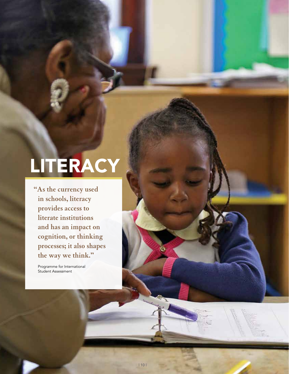# LITERACY

**"As the currency used in schools, literacy provides access to literate institutions and has an impact on cognition, or thinking processes; it also shapes the way we think."**

Programme for International Student Assessment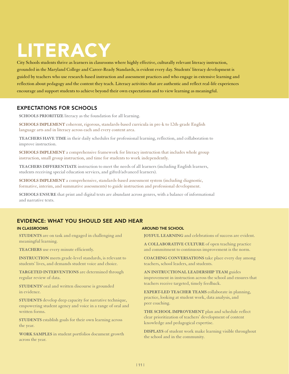# LITERACY

City Schools students thrive as learners in classrooms where highly effective, culturally relevant literacy instruction, grounded in the Maryland College and Career-Ready Standards, is evident every day. Students' literacy development is guided by teachers who use research-based instruction and assessment practices and who engage in extensive learning and reflection about pedagogy and the content they teach. Literacy activities that are authentic and reflect real-life experiences encourage and support students to achieve beyond their own expectations and to view learning as meaningful.

#### EXPECTATIONS FOR SCHOOLS

**SCHOOLS PRIORITIZE** literacy as the foundation for all learning.

**SCHOOLS IMPLEMENT** coherent, rigorous, standards-based curricula in pre-k to 12th-grade English language arts and in literacy across each and every content area.

**TEACHERS HAVE TIME** in their daily schedules for professional learning, reflection, and collaboration to improve instruction.

**SCHOOLS IMPLEMENT** a comprehensive framework for literacy instruction that includes whole group instruction, small group instruction, and time for students to work independently.

**TEACHERS DIFFERENTIATE** instruction to meet the needs of all learners (including English learners, students receiving special education services, and gifted/advanced learners).

**SCHOOLS IMPLEMENT** a comprehensive, standards-based assessment system (including diagnostic, formative, interim, and summative assessments) to guide instruction and professional development.

**SCHOOLS ENSURE** that print and digital texts are abundant across genres, with a balance of informational and narrative texts.

#### EVIDENCE: WHAT YOU SHOULD SEE AND HEAR

#### IN CLASSROOMS

**STUDENTS** are on task and engaged in challenging and meaningful learning.

**TEACHERS** use every minute efficiently.

**INSTRUCTION** meets grade-level standards, is relevant to students' lives, and demands student voice and choice.

**TARGETED INTERVENTIONS** are determined through regular review of data.

**STUDENTS'** oral and written discourse is grounded in evidence.

**STUDENTS** develop deep capacity for narrative technique, empowering student agency and voice in a range of oral and written forms.

**STUDENTS** establish goals for their own learning across the year.

**WORK SAMPLES** in student portfolios document growth across the year.

#### AROUND THE SCHOOL

**JOYFUL LEARNING** and celebrations of success are evident.

**A COLLABORATIVE CULTURE** of open teaching practice and commitment to continuous improvement is the norm.

**COACHING CONVERSATIONS** take place every day among teachers, school leaders, and students.

**AN INSTRUCTIONAL LEADERSHIP TEAM** guides improvement in instruction across the school and ensures that teachers receive targeted, timely feedback.

**EXPERT-LED TEACHER TEAMS** collaborate in planning, practice, looking at student work, data analysis, and peer coaching.

**THE SCHOOL IMPROVEMENT** plan and schedule reflect clear prioritization of teachers' development of content knowledge and pedagogical expertise.

**DISPLAYS** of student work make learning visible throughout the school and in the community.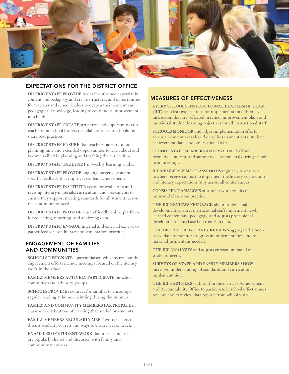

#### EXPECTATIONS FOR THE DISTRICT OFFICE

**DISTRICT STAFF PROVIDE** research-informed expertise in content and pedagogy and create structures and opportunities for teachers and school leaders to deepen their content and pedagogical knowledge, leading to continuous improvement in schools.

**DISTRICT STAFF CREATE** structures and opportunities for teachers and school leaders to collaborate across schools and share best practices.

**DISTRICT STAFF ENSURE** that teachers have common planning time and extended opportunities to learn about and become skilled in planning and teaching the curriculum.

**DISTRICT STAFF TAKE PART** in weekly learning walks.

**DISTRICT STAFF PROVIDE** ongoing, targeted, contentspecific feedback that improves student achievement.

**DISTRICT STAFF INSTITUTE** cycles for evaluating and revising literacy materials, curriculum, and assessments to ensure they support meeting standards for all students across the continuum of need.

**DISTRICT STAFF PROVIDE** a user-friendly online platform for collecting, reporting, and analyzing data.

**DISTRICT STAFF ENGAGE** internal and external experts to gather feedback on literacy implementation priorities.

#### ENGAGEMENT OF FAMILIES AND COMMUNITIES

**SCHOOLS DESIGNATE** a parent liaison who ensures family engagement efforts include meetings focused on the literacy work in the school.

**FAMILY MEMBERS ACTIVELY PARTICIPATE** on school committees and advisory groups.

**SCHOOLS PROVIDE** resources for families to encourage regular reading at home, including during the summer.

**FAMILY AND COMMUNITY MEMBERS PARTICIPATE** in classroom celebrations of learning that are led by students.

**FAMILY MEMBERS REGULARLY MEET** with teachers to discuss student progress and ways to ensure it is on track.

**EXAMPLES OF STUDENT WORK** that meet standards are regularly shared and discussed with family and community members.

#### MEASURES OF EFFECTIVENESS

**EVERY SCHOOL'S INSTRUCTIONAL LEADERSHIP TEAM (ILT) s**ets clear expectations for implementation of literacy instruction that are reflected in school improvement plans and individual student learning objectives for all instructional staff.

**SCHOOLS MONITOR** and adjust implementation efforts across all content areas based on self-assessment data, student achievement data, and observational data.

**SCHOOL STAFF MEMBERS ANALYZE DATA** (from formative, interim, and summative assessments) during school team meetings.

**ILT MEMBERS VISIT CLASSROOMS** regularly to ensure all teachers receive support to implement the literacy curriculum and literacy expectations fully across all content areas.

**CONSISTENT ANALYSIS** of student work results in improved classroom practice.

**THE ILT REVIEWS FEEDBACK** about professional development, ensures instructional staff implement newly learned content and pedagogy, and adjusts professional development plans based on trends in data.

**THE DISTRICT REGULARLY REVIEWS** aggregated schoolbased data to monitor progress in implementation and to make adjustments as needed.

**THE ILT ANALYZES** and adjusts curriculum based on students' needs.

**SURVEYS OF STAFF AND FAMILY MEMBERS SHOW** increased understanding of standards and curriculum implementation.

**THE ILT PARTNERS** with staff in the district's Achievement and Accountability Office to participate in school effectiveness reviews and to review data reports from school visits.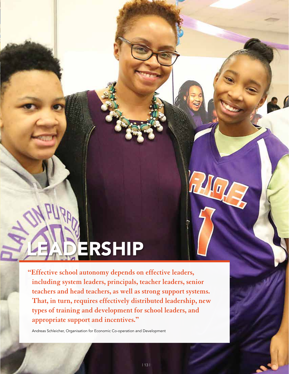# ERSHIP

**"Effective school autonomy depends on effective leaders, including system leaders, principals, teacher leaders, senior teachers and head teachers, as well as strong support systems. That, in turn, requires effectively distributed leadership, new types of training and development for school leaders, and appropriate support and incentives."**

Andreas Schleicher, Organisation for Economic Co-operation and Development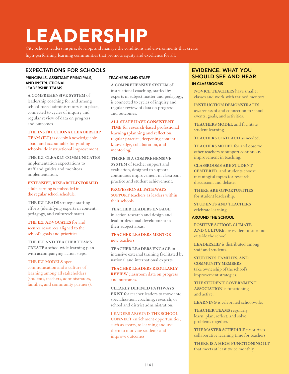# LEADERSHIP

City Schools leaders inspire, develop, and manage the conditions and environments that create high-performing learning communities that promote equity and excellence for all.

#### EXPECTATIONS FOR SCHOOLS

#### PRINCIPALS, ASSISTANT PRINCIPALS, AND INSTRUCTIONAL LEADERSHIP TEAMS

**A COMPREHENSIVE SYSTEM** of leadership coaching for and among school-based administrators is in place, connected to cycles of inquiry and regular review of data on progress and outcomes.

**THE INSTRUCTIONAL LEADERSHIP TEAM (ILT)** is deeply knowledgeable about and accountable for guiding schoolwide instructional improvement.

**THE ILT CLEARLY COMMUNICATES** implementation expectations to staff and guides and monitors implementation.

**EXTENSIVE, RESEARCH-INFORMED**  adult learning is embedded in the regular school schedule.

**THE ILT LEADS** strategic staffing efforts (identifying experts in content, pedagogy, and culture/climate).

**THE ILT ADVOCATES** for and secures resources aligned to the school's goals and priorities.

**THE ILT AND TEACHER TEAMS CREATE** a schoolwide learning plan with accompanying action steps.

**THE ILT MODELS** open communication and a culture of learning among all stakeholders (students, teachers, administrators, families, and community partners).

#### TEACHERS AND STAFF

**A COMPREHENSIVE SYSTEM** of instructional coaching, staffed by experts in subject matter and pedagogy, is connected to cycles of inquiry and regular review of data on progress and outcomes.

**ALL STAFF HAVE CONSISTENT** 

**TIME** for research-based professional learning (planning and reflection, regular practice, deepening content knowledge, collaboration, and mentoring).

#### **THERE IS A COMPREHENSIVE**

**SYSTEM** of teacher support and evaluation, designed to support continuous improvement in classroom practice and student achievement.

#### **PROFESSIONAL PATHWAYS SUPPORT** teachers as leaders within their schools.

**TEACHER LEADERS ENGAGE** in action research and design and lead professional development in their subject areas.

#### **TEACHER LEADERS MENTOR** new teachers.

**TEACHER LEADERS ENGAGE** in intensive external training facilitated by national and international experts.

#### **TEACHER LEADERS REGULARLY REVIEW** classroom data on progress and outcomes.

**CLEARLY DEFINED PATHWAYS EXIST** for teacher leaders to move into specialization, coaching, research, or school and district administration.

#### **LEADERS AROUND THE SCHOOL**

**CONNECT** enrichment opportunities, such as sports, to learning and use them to motivate students and improve outcomes.

#### EVIDENCE: WHAT YOU SHOULD SEE AND HEAR IN CLASSROOMS

**NOVICE TEACHERS** have smaller classes and work with trained mentors.

**INSTRUCTION DEMONSTRATES**  awareness of and connection to school events, goals, and activities.

**TEACHERS MODEL** and facilitate student learning.

#### **TEACHERS CO-TEACH** as needed.

**TEACHERS MODEL** for and observe other teachers to support continuous improvement in teaching.

**CLASSROOMS ARE STUDENT CENTERED**, and students choose meaningful topics for research, discussion, and debate.

**THERE ARE OPPORTUNITIES** for student leadership.

**STUDENTS AND TEACHERS**  celebrate learning.

#### AROUND THE SCHOOL

**POSITIVE SCHOOL CLIMATE AND CULTURE** are evident inside and outside the school.

**LEADERSHIP** is distributed among staff and students.

**STUDENTS, FAMILIES, AND COMMUNITY MEMBERS** take ownership of the school's improvement strategies.

**THE STUDENT GOVERNMENT ASSOCIATION** is functioning and active.

**LEARNING** is celebrated schoolwide.

**TEACHER TEAMS** regularly learn, plan, reflect, and solve problems together.

**THE MASTER SCHEDULE** prioritizes collaborative learning time for teachers.

**THERE IS A HIGH-FUNCTIONING ILT** that meets at least twice monthly.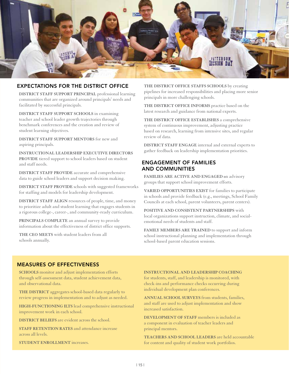

#### EXPECTATIONS FOR THE DISTRICT OFFICE

**DISTRICT STAFF SUPPORT PRINCIPAL** professional learning communities that are organized around principals' needs and facilitated by successful principals.

**DISTRICT STAFF SUPPORT SCHOOLS** in examining teacher and school leader growth trajectories through benchmark conferences and the creation and review of student learning objectives.

**DISTRICT STAFF SUPPORT MENTORS** for new and aspiring principals.

**INSTRUCTIONAL LEADERSHIP EXECUTIVE DIRECTORS PROVIDE** tiered support to school leaders based on student and staff needs.

**DISTRICT STAFF PROVIDE** accurate and comprehensive data to guide school leaders and support decision making.

**DISTRICT STAFF PROVIDE** schools with suggested frameworks for staffing and models for leadership development.

**DISTRICT STAFF ALIGN** resources of people, time, and money to prioritize adult and student learning that engages students in a rigorous college-, career-, and community-ready curriculum.

**PRINCIPALS COMPLETE** an annual survey to provide information about the effectiveness of district office supports.

**THE CEO MEETS** with student leaders from all schools annually.

**THE DISTRICT OFFICE STAFFS SCHOOLS** by creating pipelines for increased responsibilities and placing more senior principals in more challenging schools.

**THE DISTRICT OFFICE INFORMS** practice based on the latest research and guidance from national experts.

**THE DISTRICT OFFICE ESTABLISHES** a comprehensive system of continuous improvement, adjusting practice based on research, learning from intensive sites, and regular review of data.

**DISTRICT STAFF ENGAGE** internal and external experts to gather feedback on leadership implementation priorities.

#### ENGAGEMENT OF FAMILIES AND COMMUNITIES

**FAMILIES ARE ACTIVE AND ENGAGED o**n advisory groups that support school improvement efforts.

**VARIED OPPORTUNITIES EXIST** for families to participate in schools and provide feedback (e.g., meetings, School Family Councils at each school, parent volunteers, parent centers).

**POSITIVE AND CONSISTENT PARTNERSHIPS** with local organizations support instruction, climate, and socialemotional needs of students and staff.

**FAMILY MEMBERS ARE TRAINED** to support and inform school instructional planning and implementation through school-based parent education sessions.

#### MEASURES OF EFFECTIVENESS

**SCHOOLS** monitor and adjust implementation efforts through self-assessment data, student achievement data, and observational data.

**THE DISTRICT** aggregates school-based data regularly to review progress in implementation and to adjust as needed.

**HIGH-FUNCTIONING ILTS** lead comprehensive instructional improvement work in each school.

**DISTRICT BELIEFS** are evident across the school.

**STAFF RETENTION RATES** and attendance increase across all levels.

**STUDENT ENROLLMENT** increases.

**INSTRUCTIONAL AND LEADERSHIP COACHING** 

for students, staff, and leadership is monitored, with check-ins and performance checks occurring during individual development plan conferences.

**ANNUAL SCHOOL SURVEYS** from students, families, and staff are used to adjust implementation and show increased satisfaction.

**DEVELOPMENT OF STAFF** members is included as a component in evaluation of teacher leaders and principal mentors.

**TEACHERS AND SCHOOL LEADERS** are held accountable for content and quality of student work portfolios.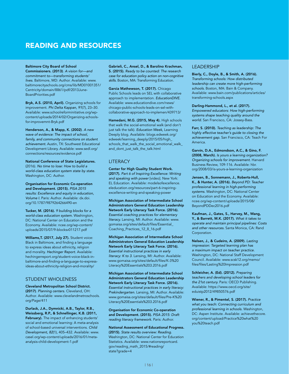#### READING AND RESOURCES

#### Baltimore City Board of School

Commissioners. (2013). *A vision for—and commitment to—transforming students' lives.* Baltimore, MD: Author. Available: www. baltimorecityschools.org/cms/lib/MD01001351/ Centricity/domain/8861/pdf/2013June-BoardPriorities.pdf

Bryk, A.S. (2010, April). Organizing schools for improvement. *Phi Delta Kappan, 91*(7), 23–30. Available: www.schoolreforminitiative.org/wpcontent/uploads/2014/02/Organizing-schoolsfor-improvemnt-Bryk.pdf

Henderson, A., & Mapp, K. (2002). *A new wave of evidence: The impact of school, family, and community connections on student achievement.* Austin, TX: Southwest Educational Development Library. Available: www.sedl.org/ connections/resources/evidence.pdf

National Conference of State Legislatures. (2016). *No time to lose: How to build a world-class education system state by state.*  Washington, DC: Author.

Organisation for Economic Co-operation and Development. (2015). *PISA 2015 results: Excellence and equity in education, Volume I.* Paris: Author. Available: dx.doi. org/10.1787/9879264266490-en

Tucker, M. (2016). *9 building blocks for a world-class education system.* Washington, DC: National Center on Education and the Economy. Available: ncee.org/wp-content/ uploads/2015/07/9-blocksv011217.pdf

Williams, T. (2017, July 27). Student voice: Black in Baltimore, and finding a language to express ideas about ethnicity, religion and morality. *Hechinger Report.* Available: hechingerreport.org/student-voice-black-inbaltimore-and-finding-a-language-to-expressideas-about-ethnicity-religion-and-morality/

#### STUDENT WHOLENESS

Cleveland Metropolitan School District. (2017). *Planning centers.* Cleveland, OH: Author. Available: www.clevelandmetroschools. org/Page/411

Durlack, J.A., Dymnicki, A.B., Taylor, R.B., Weissberg, R.P., & Schnellinger, K.B. (2011, February). The impact of enhancing students' social and emotional learning: A meta-analysis of school-based universal interventions. *Child Development, 82*(1), 405–432. Available: www. casel.org/wp-content/uploads/2016/01/metaanalysis-child-development-1.pdf

Gabrieli, C., Ansel, D., & Barolino Krachman, S. (2015). *Ready to be counted: The research case for education policy action on non-cognitive skills.* Boston, MA: Transforming Education.

Garcia Mathewson, T. (2017). Chicago Public Schools leads on SEL with collaborative approach to implementation. *EducationDIVE.* Available: www.educationdive.com/news/ chicago-public-schools-leads-on-sel-withcollaborative-approach-to-implemen/439713/

Hamedani, M.G. (2015, May 4). High schools that walk the social-emotional walk (and don't just talk the talk). *Education Week,* Learning Deeply blog. Available: blogs.edweek.org/ edweek/learning\_deeply/2015/05/high\_ schools\_that\_walk\_the\_social\_emotional\_walk\_ and\_dont\_just\_talk\_the\_talk.html

#### **LITERACY**

Center for High Quality Student Work. (2017). *Part 6 of Inspiring Excellence: Writing and speaking with power* [video]. New York: EL Education. Available: modelsofexcellence. eleducation.org/resources/part-6-inspiringexcellence-writing-and-speaking-power

Michigan Association of Intermediate School Administrators General Education Leadership Network Early Literacy Task Force. (2016). *Essential coaching practices for elementary literacy.* Lansing, MI: Author. Available: www. gomaisa.org/sites/default/files/Essential\_ Coaching\_Practices\_12\_8\_16.pdf

Michigan Association of Intermediate School Administrators General Education Leadership Network Early Literacy Task Force. (2016). *Essential instructional practices in early literacy: K to 3*. Lansing, MI: Author. Available: www.gomaisa.org/sites/default/files/K-3%20 Literacy%20Essentials%203.2016.pdf

Michigan Association of Intermediate School Administrators General Education Leadership Network Early Literacy Task Force. (2016). *Essential instructional practices in early literacy: Prekindergarten*. Lansing, MI: Author. Available: www.gomaisa.org/sites/default/files/Pre-K%20 Literacy%20Essentials%203.2016.pdf

Organisation for Economic Co-operation and Development. (2015). *PISA 2015: Draft reading literacy framework.* Paris: Author.

National Assessment of Educational Progress. (2015). *State results overview: Reading.*  Washington, DC: National Center for Education Statistics. Available: www.nationsreportcard. gov/reading\_math\_2015/#reading/ state?grade=4

#### **LEADERSHIP**

Bierly, C., Doyle, B., & Smith, A. (2016). *Transforming schools: How distributed leadership can create more high-performing schools.* Boston, MA: Bain & Company. Available: www.bain.com/publications/articles/ transforming-schools.aspx

#### Darling-Hammond, L., et al. (2017).

*Empowered educators: How high-performing systems shape teaching quality around the world.* San Francisco, CA: Jossey-Bass.

Farr, S. (2010). *Teaching as leadership: The highly effective teacher's guide to closing the achievement gap.* San Francisco, CA: Teach For America.

Garvin, D.A., Edmondson, A.C., & Gino, F. (2008, March). *Is yours a learning organization? Organizing schools for improvement.* Harvard Business Review, 109-116. Available: hbr. org/2008/03/is-yours-a-learning-organization

Jensen, B., Sonnemann, J., Roberts-Hull, K., & Hunter, A. (2016). *Beyond PD: Teacher professional learning in high-performing systems.* Washington, DC: National Center on Education and the Economy. Available: ncee.org/wp-content/uploads/2015/08/ BeyondPDDec2016.pdf

Kaufman, J., Gates, S., Harvey, M., Wang, Y., & Barrett, M.K. (2017). *What it takes to operate and maintain principal pipelines: Costs and other resources.* Santa Monica, CA: Rand Corporation.

Nelsen, J., & Cudeiro, A. (2009). *Lasting impression: Targeted learning plan has a maximum impact on teacher practice.*  Washington, DC: National Staff Development Council. Available: www.scsk12.org/memo/ files/files/Lasting%20Impression.pdf

Schleicher, A. (Ed). (2012). *Preparing teachers and developing school leaders for the 21st century.* Paris: OECD Publishing. Available: https://www.oecd.org/site/ eduistp2012/49850576.pdf

Wiener, R., & Pimentel, S. (2017). *Practice what you teach: Connecting curriculum and professional learning in schools.* Washington, DC: Aspen Institute. Available: achievethecore. org/content/upload/Practice%20what%20 you%20teach.pdf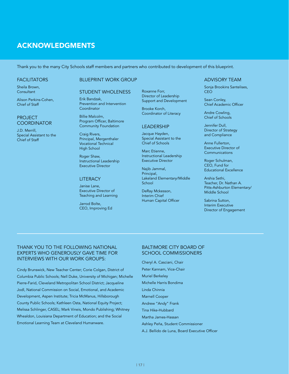#### ACKNOWLEDGMENTS

Thank you to the many City Schools staff members and partners who contributed to development of this blueprint.

#### **FACILITATORS**

Sheila Brown, **Consultant** 

Alison Perkins-Cohen, Chief of Staff

#### PROJECT **COORDINATOR**

J.D. Merrill, Special Assistant to the Chief of Staff

#### BLUEPRINT WORK GROUP

#### STUDENT WHOLENESS

Erik Bandzak, Prevention and Intervention Coordinator

Billie Malcolm, Program Officer, Baltimore Community Foundation

Craig Rivers, Principal, Mergenthaler Vocational Technical High School

Roger Shaw, Instructional Leadership Executive Director

#### **LITERACY**

Janise Lane, Executive Director of Teaching and Learning

Jarrod Bolte, CEO, Improving Ed Roxanne Forr, Director of Leadership Support and Development

Brooke Korch, Coordinator of Literacy

#### LEADERSHIP

Jacque Hayden, Special Assistant to the Chief of Schools

Marc Etienne, Instructional Leadership Executive Director

Najib Jammal, Principal, Lakeland Elementary/Middle **School** 

DeRay Mckesson, Interim Chief Human Capital Officer

#### ADVISORY TEAM

Sonja Brookins Santelises, CEO

Sean Conley, Chief Academic Officer

Andre Cowling, Chief of Schools

Jennifer Dull, Director of Strategy and Compliance

Anne Fullerton, Executive Director of **Communications** 

Roger Schulman, CEO, Fund for Educational Excellence

Arshia Sethi, Teacher, Dr. Nathan A. Pitts-Ashburton Elementary/ Middle School

Sabrina Sutton, Interim Executive Director of Engagement

#### THANK YOU TO THE FOLLOWING NATIONAL EXPERTS WHO GENEROUSLY GAVE TIME FOR INTERVIEWS WITH OUR WORK GROUPS:

Cindy Brunswick, New Teacher Center; Corie Colgan, District of Columbia Public Schools; Nell Duke, University of Michigan; Michelle Pierre-Farid, Cleveland Metropolitan School District; Jacqueline Jodl, National Commission on Social, Emotional, and Academic Development, Aspen Institute; Tricia McManus, Hillsborough County Public Schools; Kathleen Osta, National Equity Project; Melissa Schlinger, CASEL; Mark Vineis, Mondo Publishing; Whitney Whealdon, Louisiana Department of Education; and the Social Emotional Learning Team at Cleveland Humanware.

#### BALTIMORE CITY BOARD OF SCHOOL COMMISSIONERS

Cheryl A. Casciani, Chair Peter Kannam, Vice-Chair Muriel Berkeley Michelle Harris Bondima Linda Chinnia Marnell Cooper Andrew "Andy" Frank Tina Hike-Hubbard Martha James-Hassan Ashley Peña, Student Commissioner A.J. Bellido de Luna, Board Executive Officer